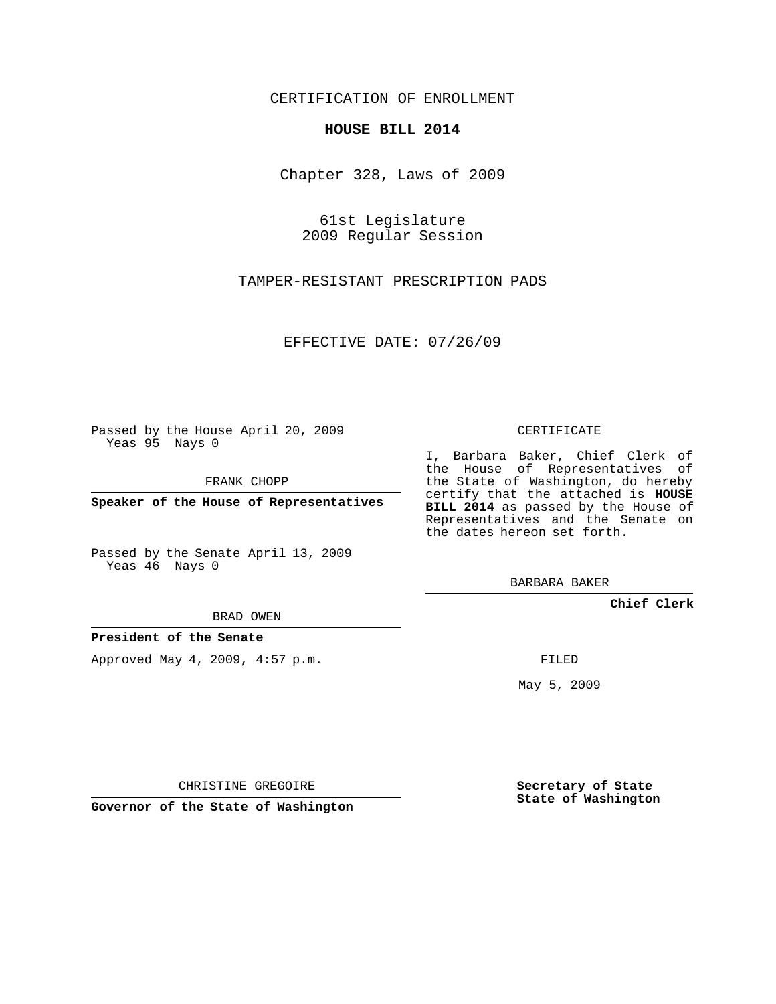## CERTIFICATION OF ENROLLMENT

## **HOUSE BILL 2014**

Chapter 328, Laws of 2009

61st Legislature 2009 Regular Session

TAMPER-RESISTANT PRESCRIPTION PADS

EFFECTIVE DATE: 07/26/09

Passed by the House April 20, 2009 Yeas 95 Nays 0

FRANK CHOPP

**Speaker of the House of Representatives**

Passed by the Senate April 13, 2009 Yeas 46 Nays 0

BRAD OWEN

**President of the Senate**

Approved May 4, 2009, 4:57 p.m.

CERTIFICATE

I, Barbara Baker, Chief Clerk of the House of Representatives of the State of Washington, do hereby certify that the attached is **HOUSE BILL 2014** as passed by the House of Representatives and the Senate on the dates hereon set forth.

BARBARA BAKER

**Chief Clerk**

FILED

May 5, 2009

CHRISTINE GREGOIRE

**Governor of the State of Washington**

**Secretary of State State of Washington**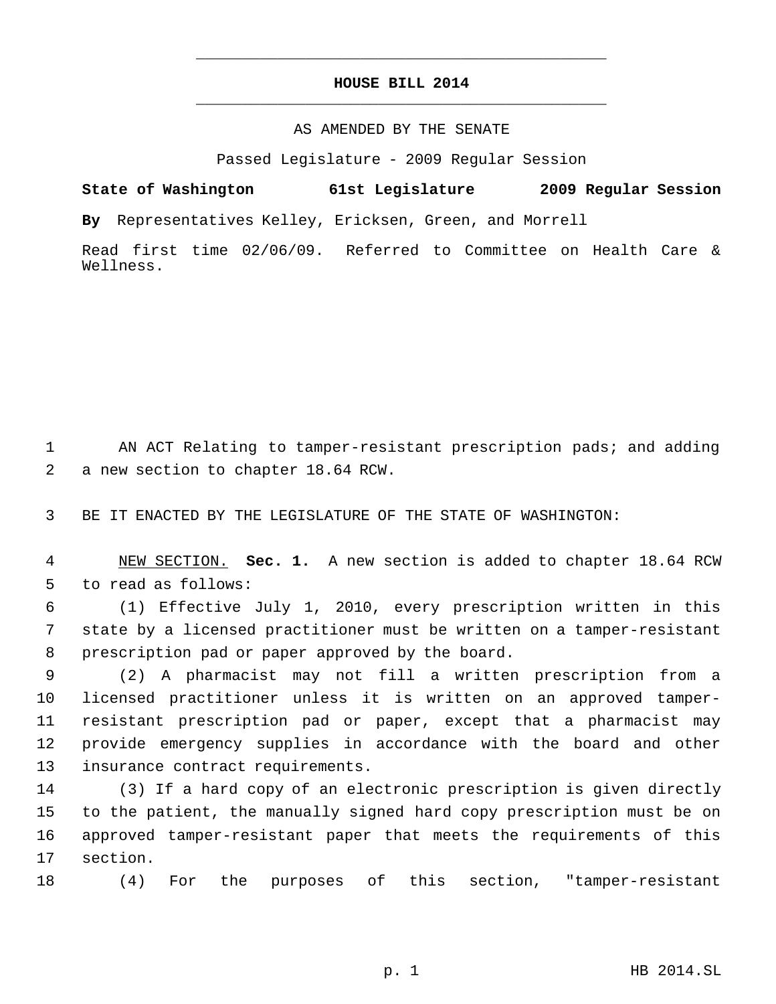## **HOUSE BILL 2014** \_\_\_\_\_\_\_\_\_\_\_\_\_\_\_\_\_\_\_\_\_\_\_\_\_\_\_\_\_\_\_\_\_\_\_\_\_\_\_\_\_\_\_\_\_

\_\_\_\_\_\_\_\_\_\_\_\_\_\_\_\_\_\_\_\_\_\_\_\_\_\_\_\_\_\_\_\_\_\_\_\_\_\_\_\_\_\_\_\_\_

## AS AMENDED BY THE SENATE

Passed Legislature - 2009 Regular Session

**State of Washington 61st Legislature 2009 Regular Session By** Representatives Kelley, Ericksen, Green, and Morrell

Read first time 02/06/09. Referred to Committee on Health Care & Wellness.

 AN ACT Relating to tamper-resistant prescription pads; and adding a new section to chapter 18.64 RCW.

BE IT ENACTED BY THE LEGISLATURE OF THE STATE OF WASHINGTON:

 NEW SECTION. **Sec. 1.** A new section is added to chapter 18.64 RCW to read as follows:

 (1) Effective July 1, 2010, every prescription written in this state by a licensed practitioner must be written on a tamper-resistant prescription pad or paper approved by the board.

 (2) A pharmacist may not fill a written prescription from a licensed practitioner unless it is written on an approved tamper- resistant prescription pad or paper, except that a pharmacist may provide emergency supplies in accordance with the board and other insurance contract requirements.

 (3) If a hard copy of an electronic prescription is given directly to the patient, the manually signed hard copy prescription must be on approved tamper-resistant paper that meets the requirements of this section.

(4) For the purposes of this section, "tamper-resistant